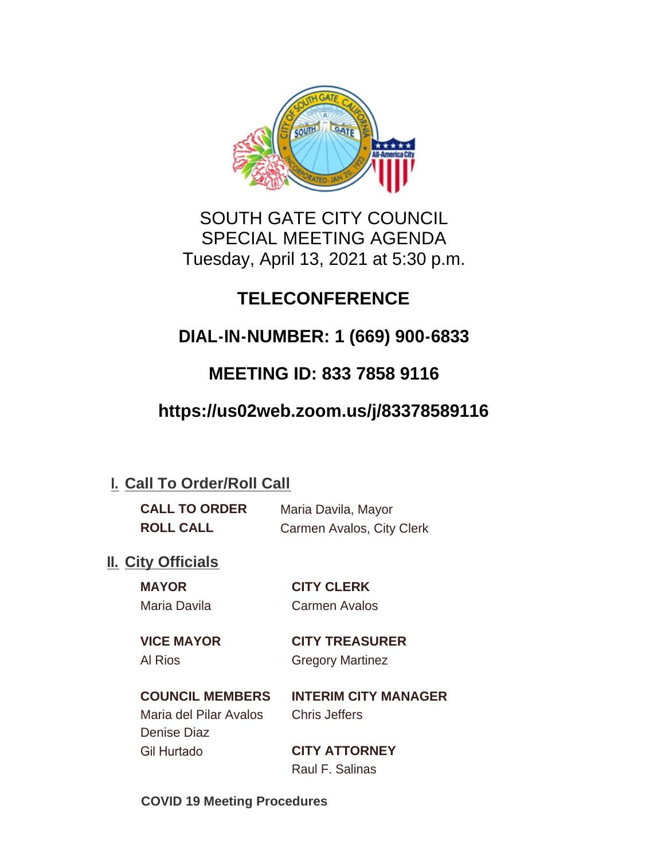

## SOUTH GATE CITY COUNCIL SPECIAL MEETING AGENDA Tuesday, April 13, 2021 at 5:30 p.m.

## **TELECONFERENCE**

## **DIAL-IN-NUMBER: 1 (669) 900-6833**

## **MEETING ID: 833 7858 9116**

## **https://us02web.zoom.us/j/83378589116**

### **I. Call To Order/Roll Call**

| <b>CALL TO ORDER</b> | Maria Davila, Mayor       |
|----------------------|---------------------------|
| <b>ROLL CALL</b>     | Carmen Avalos, City Clerk |

### **II.** City Officials

**MAYOR CITY CLERK**

# Maria Davila Carmen Avalos

**VICE MAYOR CITY TREASURER** Al Rios Gregory Martinez

## **COUNCIL MEMBERS INTERIM CITY MANAGER** Maria del Pilar Avalos Chris Jeffers

Denise Diaz Gil Hurtado **CITY ATTORNEY**

Raul F. Salinas

**COVID 19 Meeting Procedures**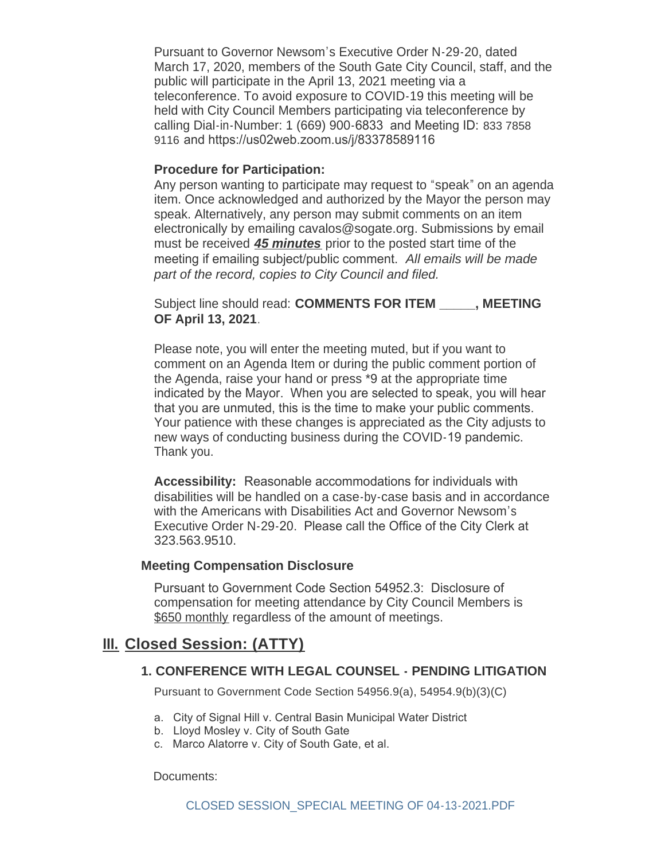Pursuant to Governor Newsom's Executive Order N-29-20, dated March 17, 2020, members of the South Gate City Council, staff, and the public will participate in the April 13, 2021 meeting via a teleconference. To avoid exposure to COVID-19 this meeting will be held with City Council Members participating via teleconference by calling Dial-in-Number: 1 (669) 900-6833 and Meeting ID: 833 7858 9116 and https://us02web.zoom.us/j/83378589116

#### **Procedure for Participation:**

Any person wanting to participate may request to "speak" on an agenda item. Once acknowledged and authorized by the Mayor the person may speak. Alternatively, any person may submit comments on an item electronically by emailing cavalos@sogate.org. Submissions by email must be received *45 minutes* prior to the posted start time of the meeting if emailing subject/public comment. *All emails will be made part of the record, copies to City Council and filed.*

Subject line should read: **COMMENTS FOR ITEM \_\_\_\_\_, MEETING OF April 13, 2021**.

Please note, you will enter the meeting muted, but if you want to comment on an Agenda Item or during the public comment portion of the Agenda, raise your hand or press \*9 at the appropriate time indicated by the Mayor. When you are selected to speak, you will hear that you are unmuted, this is the time to make your public comments. Your patience with these changes is appreciated as the City adjusts to new ways of conducting business during the COVID-19 pandemic. Thank you.

**Accessibility:** Reasonable accommodations for individuals with disabilities will be handled on a case-by-case basis and in accordance with the Americans with Disabilities Act and Governor Newsom's Executive Order N-29-20. Please call the Office of the City Clerk at 323.563.9510.

#### **Meeting Compensation Disclosure**

Pursuant to Government Code Section 54952.3: Disclosure of compensation for meeting attendance by City Council Members is \$650 monthly regardless of the amount of meetings.

#### **Closed Session: (ATTY) III.**

#### **1. CONFERENCE WITH LEGAL COUNSEL - PENDING LITIGATION**

Pursuant to Government Code Section 54956.9(a), 54954.9(b)(3)(C)

- a. City of Signal Hill v. Central Basin Municipal Water District
- b. Lloyd Mosley v. City of South Gate
- c. Marco Alatorre v. City of South Gate, et al.

Documents: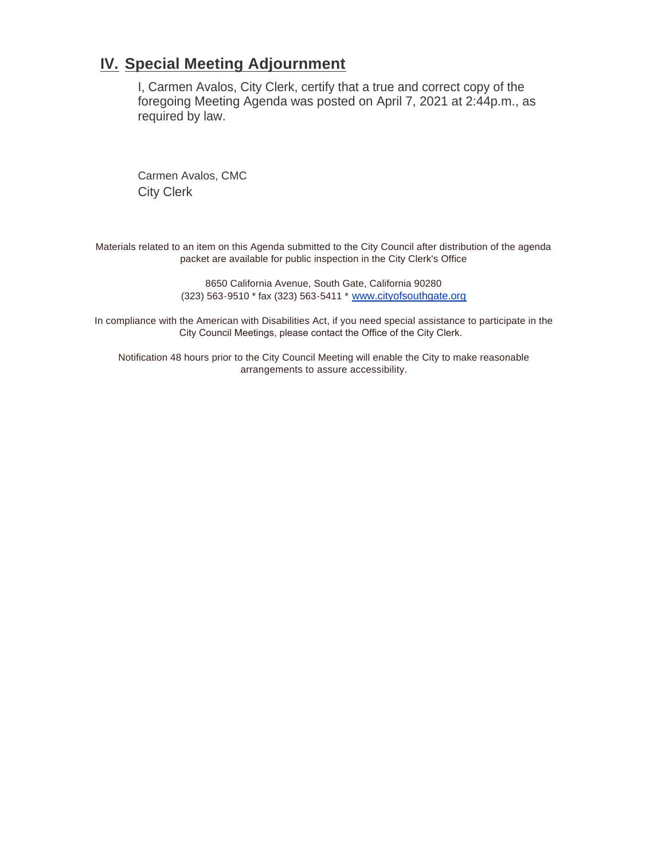#### **IV.** Special Meeting Adjournment

I, Carmen Avalos, City Clerk, certify that a true and correct copy of the foregoing Meeting Agenda was posted on April 7, 2021 at 2:44p.m., as required by law.

Carmen Avalos, CMC City Clerk

Materials related to an item on this Agenda submitted to the City Council after distribution of the agenda packet are available for public inspection in the City Clerk's Office

> 8650 California Avenue, South Gate, California 90280 (323) 563-9510 \* fax (323) 563-5411 \* [www.cityofsouthgate.org](http://www.cityofsouthgate.org/)

In compliance with the American with Disabilities Act, if you need special assistance to participate in the City Council Meetings, please contact the Office of the City Clerk.

Notification 48 hours prior to the City Council Meeting will enable the City to make reasonable arrangements to assure accessibility.